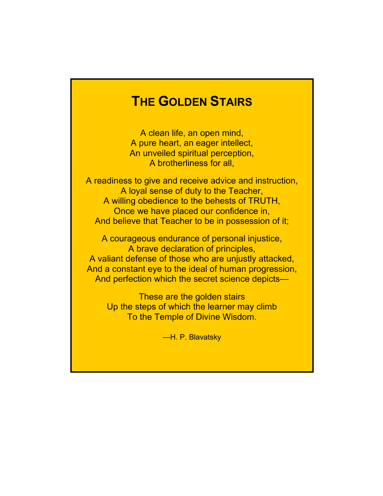# **THE GOLDEN STAIRS**

A clean life, an open mind, A pure heart, an eager intellect, An unveiled spiritual perception, A brotherliness for all,

A readiness to give and receive advice and instruction, A loyal sense of duty to the Teacher, A willing obedience to the behests of TRUTH, Once we have placed our confidence in, And believe that Teacher to be in possession of it;

A courageous endurance of personal injustice, A brave declaration of principles, A valiant defense of those who are unjustly attacked, And a constant eye to the ideal of human progression, And perfection which the secret science depicts—

These are the golden stairs Up the steps of which the learner may climb To the Temple of Divine Wisdom.

—H. P. Blavatsky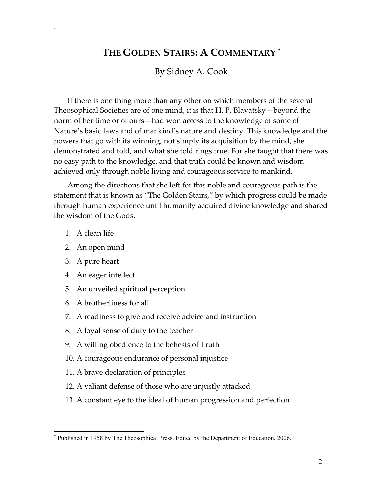## **THE GOLDEN STAIRS: A COMMENTARY \***

### By Sidney A. Сооk

If there is one thing more than any other on which members of the several Theosophical Societies are of one mind, it is that H. P. Blavatsky—beyond the norm of her time or of ours—had won access to the knowledge of some of Nature's basic laws and of mankind's nature and destiny. This knowledge and the powers that go with its winning, not simply its acquisition by the mind, she demonstrated and told, and what she told rings true. For she taught that there was no easy path to the knowledge, and that truth could be known and wisdom achieved only through noble living and courageous service to mankind.

Among the directions that she left for this noble and courageous path is the statement that is known as "The Golden Stairs," by which progress could be made through human experience until humanity acquired divine knowledge and shared the wisdom of the Gods.

1. A clean life

.

- 2. An open mind
- 3. A pure heart

 $\overline{a}$ 

- 4. An eager intellect
- 5. An unveiled spiritual perception
- 6. A brotherliness for all
- 7. A readiness to give and receive advice and instruction
- 8. A loyal sense of duty to the teacher
- 9. A willing obedience to the behests of Truth
- 10. A courageous endurance of personal injustice
- 11. A brave declaration of principles
- 12. A valiant defense of those who are unjustly attacked
- 13. A constant eye to the ideal of human progression and perfection

<sup>\*</sup> Published in 1958 by The Theosophical Press. Edited by the Department of Education, 2006.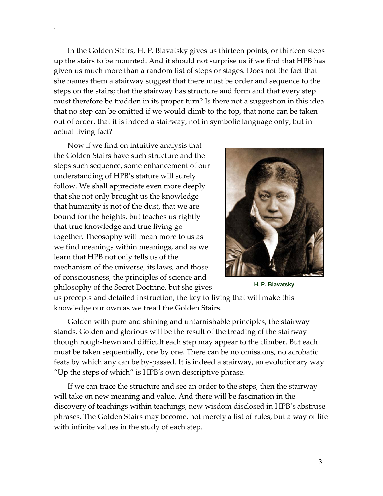In the Golden Stairs, H. P. Blavatsky gives us thirteen points, or thirteen steps up the stairs to be mounted. And it should not surprise us if we find that HPB has given us much more than a random list of steps or stages. Does not the fact that she names them a stairway suggest that there must be order and sequence to the steps on the stairs; that the stairway has structure and form and that every step must therefore be trodden in its proper turn? Is there not a suggestion in this idea that no step can be omitted if we would climb to the top, that none can be taken out of order, that it is indeed a stairway, not in symbolic language only, but in actual living fact?

Now if we find on intuitive analysis that the Golden Stairs have such structure and the steps such sequence, some enhancement of our understanding of HPB's stature will surely follow. We shall appreciate even more deeply that she not only brought us the knowledge that humanity is not of the dust, that we are bound for the heights, but teaches us rightly that true knowledge and true living go together. Theosophy will mean more to us as we find meanings within meanings, and as we learn that HPB not only tells us of the mechanism of the universe, its laws, and those of consciousness, the principles of science and philosophy of the Secret Doctrine, but she gives **H. P. Blavatsky** 

.



us precepts and detailed instruction, the key to living that will make this knowledge our own as we tread the Golden Stairs.

Golden with pure and shining and untarnishable principles, the stairway stands. Golden and glorious will be the result of the treading of the stairway though rough-hewn and difficult each step may appear to the climber. But each must be taken sequentially, one by one. There can be no omissions, no acrobatic feats by which any can be by-passed. It is indeed a stairway, an evolutionary way. "Up the steps of which" is HPB's own descriptive phrase.

If we can trace the structure and see an order to the steps, then the stairway will take on new meaning and value. And there will be fascination in the discovery of teachings within teachings, new wisdom disclosed in HPB's abstruse phrases. The Golden Stairs may become, not merely a list of rules, but a way of life with infinite values in the study of each step.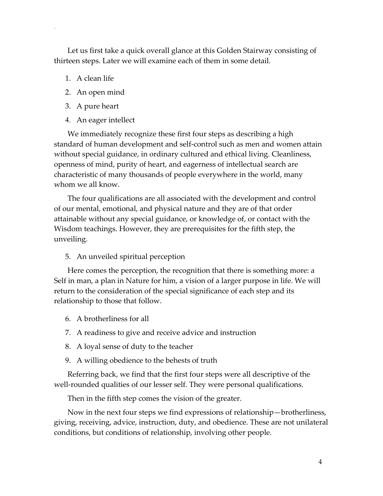Let us first take a quick overall glance at this Golden Stairway consisting of thirteen steps. Later we will examine each of them in some detail.

1. A clean life

.

- 2. An open mind
- 3. A pure heart
- 4. An eager intellect

We immediately recognize these first four steps as describing a high standard of human development and self-control such as men and women attain without special guidance, in ordinary cultured and ethical living. Cleanliness, openness of mind, purity of heart, and eagerness of intellectual search are characteristic of many thousands of people everywhere in the world, many whom we all know.

The four qualifications are all associated with the development and control of our mental, emotional, and physical nature and they are of that order attainable without any special guidance, or knowledge of, or contact with the Wisdom teachings. However, they are prerequisites for the fifth step, the unveiling.

5. An unveiled spiritual perception

Here comes the perception, the recognition that there is something more: a Self in man, a plan in Nature for him, a vision of a larger purpose in life. We will return to the consideration of the special significance of each step and its relationship to those that follow.

- 6. A brotherliness for all
- 7. A readiness to give and receive advice and instruction
- 8. A loyal sense of duty to the teacher
- 9. A willing obedience to the behests of truth

Referring back, we find that the first four steps were all descriptive of the well-rounded qualities of our lesser self. They were personal qualifications.

Then in the fifth step comes the vision of the greater.

Now in the next four steps we find expressions of relationship—brotherliness, giving, receiving, advice, instruction, duty, and obedience. These are not unilateral conditions, but conditions of relationship, involving other people.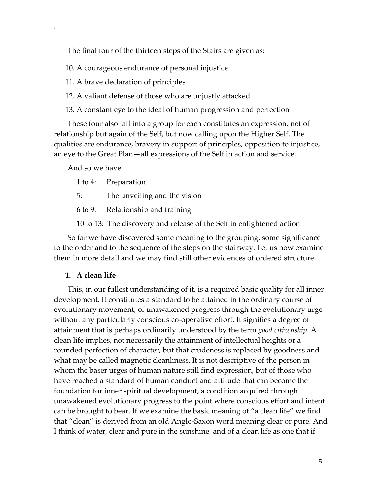The final four of the thirteen steps of the Stairs are given as:

10. A courageous endurance of personal injustice

11. A brave declaration of principles

12. A valiant defense of those who are unjustly attacked

13. A constant eye to the ideal of human progression and perfection

These four also fall into a group for each constitutes an expression, not of relationship but again of the Self, but now calling upon the Higher Self. The qualities are endurance, bravery in support of principles, opposition to injustice, an eye to the Great Plan—all expressions of the Self in action and service.

And so we have:

.

1 to 4: Preparation

5: The unveiling and the vision

6 to 9: Relationship and training

10 to 13: The discovery and release of the Self in enlightened action

So far we have discovered some meaning to the grouping, some significance to the order and to the sequence of the steps on the stairway. Let us now examine them in more detail and we may find still other evidences of ordered structure.

#### **1. A clean life**

This, in our fullest understanding of it, is a required basic quality for all inner development. It constitutes a standard to be attained in the ordinary course of evolutionary movement, of unawakened progress through the evolutionary urge without any particularly conscious co-operative effort. It signifies a degree of attainment that is perhaps ordinarily understood by the term *good citizenship*. A clean life implies, not necessarily the attainment of intellectual heights or a rounded perfection of character, but that crudeness is replaced by goodness and what may be called magnetic cleanliness. It is not descriptive of the person in whom the baser urges of human nature still find expression, but of those who have reached a standard of human conduct and attitude that can become the foundation for inner spiritual development, a condition acquired through unawakened evolutionary progress to the point where conscious effort and intent can be brought to bear. If we examine the basic meaning of "a clean life" we find that "clean" is derived from an old Anglo-Saxon word meaning clear or pure. And I think of water, clear and pure in the sunshine, and of a clean life as one that if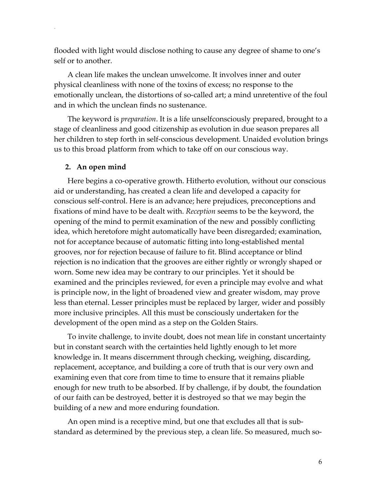flooded with light would disclose nothing to cause any degree of shame to one's self or to another.

A clean life makes the unclean unwelcome. It involves inner and outer physical cleanliness with none of the toxins of excess; no response to the emotionally unclean, the distortions of so-called art; a mind unretentive of the foul and in which the unclean finds no sustenance.

The keyword is *preparation*. It is a life unselfconsciously prepared, brought to a stage of cleanliness and good citizenship as evolution in due season prepares all her children to step forth in self-conscious development. Unaided evolution brings us to this broad platform from which to take off on our conscious way.

#### **2. An open mind**

.

Here begins a co-operative growth. Hitherto evolution, without our conscious aid or understanding, has created a clean life and developed a capacity for conscious self-control. Here is an advance; here prejudices, preconceptions and fixations of mind have to be dealt with. *Reception* seems to be the keyword, the opening of the mind to permit examination of the new and possibly conflicting idea, which heretofore might automatically have been disregarded; examination, not for acceptance because of automatic fitting into long-established mental grooves, nor for rejection because of failure to fit. Blind acceptance or blind rejection is no indication that the grooves are either rightly or wrongly shaped or worn. Some new idea may be contrary to our principles. Yet it should be examined and the principles reviewed, for even a principle may evolve and what is principle now, in the light of broadened view and greater wisdom, may prove less than eternal. Lesser principles must be replaced by larger, wider and possibly more inclusive principles. All this must be consciously undertaken for the development of the open mind as a step on the Golden Stairs.

To invite challenge, to invite doubt, does not mean life in constant uncertainty but in constant search with the certainties held lightly enough to let more knowledge in. It means discernment through checking, weighing, discarding, replacement, acceptance, and building a core of truth that is our very own and examining even that core from time to time to ensure that it remains pliable enough for new truth to be absorbed. If by challenge, if by doubt, the foundation of our faith can be destroyed, better it is destroyed so that we may begin the building of a new and more enduring foundation.

An open mind is a receptive mind, but one that excludes all that is substandard as determined by the previous step, a clean life. So measured, much so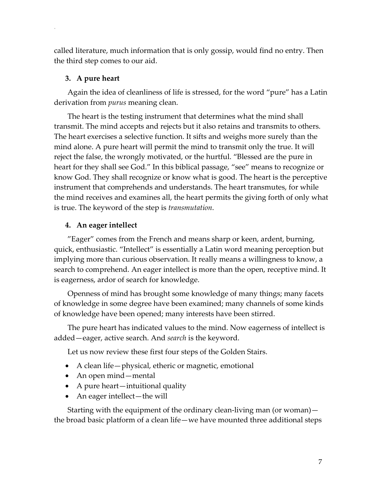called literature, much information that is only gossip, would find no entry. Then the third step comes to our aid.

#### **3. A pure heart**

.

Again the idea of cleanliness of life is stressed, for the word "pure" has a Latin derivation from *purus* meaning clean.

The heart is the testing instrument that determines what the mind shall transmit. The mind accepts and rejects but it also retains and transmits to others. The heart exercises a selective function. It sifts and weighs more surely than the mind alone. A pure heart will permit the mind to transmit only the true. It will reject the false, the wrongly motivated, or the hurtful. "Blessed are the pure in heart for they shall see God." In this biblical passage, "see" means to recognize or know God. They shall recognize or know what is good. The heart is the perceptive instrument that comprehends and understands. The heart transmutes, for while the mind receives and examines all, the heart permits the giving forth of only what is true. The keyword of the step is *transmutation*.

#### **4. An eager intellect**

"Eager" comes from the French and means sharp or keen, ardent, burning, quick, enthusiastic. "Intellect" is essentially a Latin word meaning perception but implying more than curious observation. It really means a willingness to know, a search to comprehend. An eager intellect is more than the open, receptive mind. It is eagerness, ardor of search for knowledge.

Openness of mind has brought some knowledge of many things; many facets of knowledge in some degree have been examined; many channels of some kinds of knowledge have been opened; many interests have been stirred.

The pure heart has indicated values to the mind. Now eagerness of intellect is added—eager, active search. And *search* is the keyword.

Let us now review these first four steps of the Golden Stairs.

- A clean life— physical, etheric or magnetic, emotional
- An open mind—mental
- A pure heart—intuitional quality
- An eager intellect—the will

Starting with the equipment of the ordinary clean-living man (or woman) the broad basic platform of a clean life—we have mounted three additional steps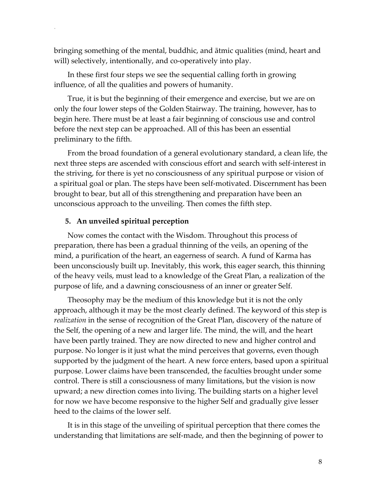bringing something of the mental, buddhic, and ātmic qualities (mind, heart and will) selectively, intentionally, and co-operatively into play.

In these first four steps we see the sequential calling forth in growing influence, of all the qualities and powers of humanity.

True, it is but the beginning of their emergence and exercise, but we are on only the four lower steps of the Golden Stairway. The training, however, has to begin here. There must be at least a fair beginning of conscious use and control before the next step can be approached. All of this has been an essential preliminary to the fifth.

From the broad foundation of a general evolutionary standard, a clean life, the next three steps are ascended with conscious effort and search with self-interest in the striving, for there is yet no consciousness of any spiritual purpose or vision of a spiritual goal or plan. The steps have been self-motivated. Discernment has been brought to bear, but all of this strengthening and preparation have been an unconscious approach to the unveiling. Then comes the fifth step.

#### **5. An unveiled spiritual perception**

.

Now comes the contact with the Wisdom. Throughout this process of preparation, there has been a gradual thinning of the veils, an opening of the mind, a purification of the heart, an eagerness of search. A fund of Karma has been unconsciously built up. Inevitably, this work, this eager search, this thinning of the heavy veils, must lead to a knowledge of the Great Plan, a realization of the purpose of life, and a dawning consciousness of an inner or greater Self.

Theosophy may be the medium of this knowledge but it is not the only approach, although it may be the most clearly defined. The keyword of this step is *realization* in the sense of recognition of the Great Plan, discovery of the nature of the Self, the opening of a new and larger life. The mind, the will, and the heart have been partly trained. They are now directed to new and higher control and purpose. No longer is it just what the mind perceives that governs, even though supported by the judgment of the heart. A new force enters, based upon a spiritual purpose. Lower claims have been transcended, the faculties brought under some control. There is still a consciousness of many limitations, but the vision is now upward; a new direction comes into living. The building starts on a higher level for now we have become responsive to the higher Self and gradually give lesser heed to the claims of the lower self.

It is in this stage of the unveiling of spiritual perception that there comes the understanding that limitations are self-made, and then the beginning of power to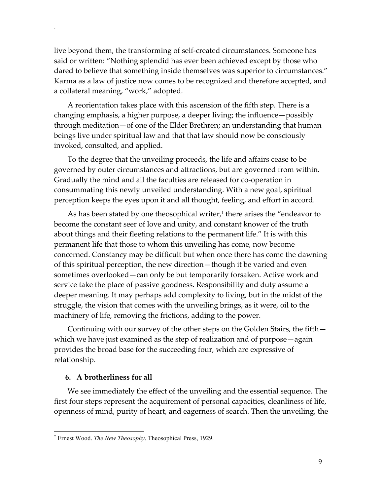live beyond them, the transforming of self-created circumstances. Someone has said or written: "Nothing splendid has ever been achieved except by those who dared to believe that something inside themselves was superior to circumstances." Karma as a law of justice now comes to be recognized and therefore accepted, and a collateral meaning, "work," adopted.

A reorientation takes place with this ascension of the fifth step. There is a changing emphasis, a higher purpose, a deeper living; the influence—possibly through meditation—of one of the Elder Brethren; an understanding that human beings live under spiritual law and that that law should now be consciously invoked, consulted, and applied.

To the degree that the unveiling proceeds, the life and affairs cease to be governed by outer circumstances and attractions, but are governed from within. Gradually the mind and all the faculties are released for co-operation in consummating this newly unveiled understanding. With a new goal, spiritual perception keeps the eyes upon it and all thought, feeling, and effort in accord.

As has been stated by one theosophical writer,† there arises the "endeavor to become the constant seer of love and unity, and constant knower of the truth about things and their fleeting relations to the permanent life." It is with this permanent life that those to whom this unveiling has come, now become concerned. Constancy may be difficult but when once there has come the dawning of this spiritual perception, the new direction—though it be varied and even sometimes overlooked—can only be but temporarily forsaken. Active work and service take the place of passive goodness. Responsibility and duty assume a deeper meaning. It may perhaps add complexity to living, but in the midst of the struggle, the vision that comes with the unveiling brings, as it were, oil to the machinery of life, removing the frictions, adding to the power.

Continuing with our survey of the other steps on the Golden Stairs, the fifth which we have just examined as the step of realization and of purpose—again provides the broad base for the succeeding four, which are expressive of relationship.

#### **6. A brotherliness for all**

 $\overline{a}$ 

.

We see immediately the effect of the unveiling and the essential sequence. The first four steps represent the acquirement of personal capacities, cleanliness of life, openness of mind, purity of heart, and eagerness of search. Then the unveiling, the

<sup>†</sup> Ernest Wood. *The New Theosophy*. Theosophical Press, 1929.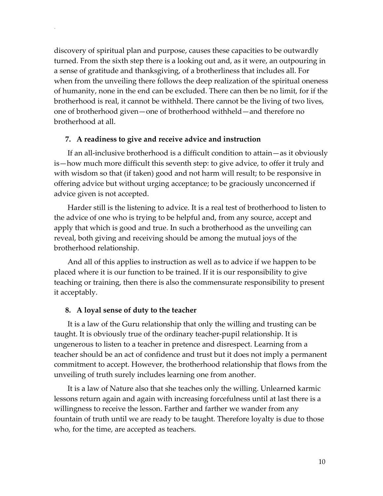discovery of spiritual plan and purpose, causes these capacities to be outwardly turned. From the sixth step there is a looking out and, as it were, an outpouring in a sense of gratitude and thanksgiving, of a brotherliness that includes all. For when from the unveiling there follows the deep realization of the spiritual oneness of humanity, none in the end can be excluded. There can then be no limit, for if the brotherhood is real, it cannot be withheld. There cannot be the living of two lives, one of brotherhood given—one of brotherhood withheld—and therefore no brotherhood at all.

#### **7. A readiness to give and receive advice and instruction**

.

If an all-inclusive brotherhood is a difficult condition to attain—as it obviously is—how much more difficult this seventh step: to give advice, to offer it truly and with wisdom so that (if taken) good and not harm will result; to be responsive in offering advice but without urging acceptance; to be graciously unconcerned if advice given is not accepted.

Harder still is the listening to advice. It is a real test of brotherhood to listen to the advice of one who is trying to be helpful and, from any source, accept and apply that which is good and true. In such a brotherhood as the unveiling can reveal, both giving and receiving should be among the mutual joys of the brotherhood relationship.

And all of this applies to instruction as well as to advice if we happen to be placed where it is our function to be trained. If it is our responsibility to give teaching or training, then there is also the commensurate responsibility to present it acceptably.

#### **8. A loyal sense of duty to the teacher**

It is a law of the Guru relationship that only the willing and trusting can be taught. It is obviously true of the ordinary teacher-pupil relationship. It is ungenerous to listen to a teacher in pretence and disrespect. Learning from a teacher should be an act of confidence and trust but it does not imply a permanent commitment to accept. However, the brotherhood relationship that flows from the unveiling of truth surely includes learning one from another.

It is a law of Nature also that she teaches only the willing. Unlearned karmic lessons return again and again with increasing forcefulness until at last there is a willingness to receive the lesson. Farther and farther we wander from any fountain of truth until we are ready to be taught. Therefore loyalty is due to those who, for the time, are accepted as teachers.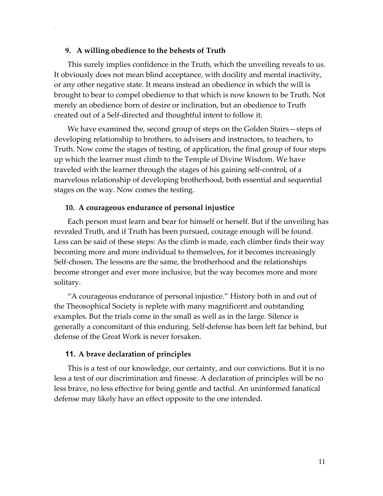#### **9. A willing obedience to the behests of Truth**

.

This surely implies confidence in the Truth, which the unveiling reveals to us. It obviously does not mean blind acceptance, with docility and mental inactivity, or any other negative state. It means instead an obedience in which the will is brought to bear to compel obedience to that which is now known to be Truth. Not merely an obedience born of desire or inclination, but an obedience to Truth created out of a Self-directed and thoughtful intent to follow it.

We have examined the, second group of steps on the Golden Stairs—steps of developing relationship to brothers, to advisers and instructors, to teachers, to Truth. Now come the stages of testing, of application, the final group of four steps up which the learner must climb to the Temple of Divine Wisdom. We have traveled with the learner through the stages of his gaining self-control, of a marvelous relationship of developing brotherhood, both essential and sequential stages on the way. Now comes the testing.

#### **10. A courageous endurance of personal injustice**

Each person must learn and bear for himself or herself. But if the unveiling has revealed Truth, and if Truth has been pursued, courage enough will be found. Less can be said of these steps: As the climb is made, each climber finds their way becoming more and more individual to themselves, for it becomes increasingly Self-chosen. The lessons are the same, the brotherhood and the relationships become stronger and ever more inclusive, but the way becomes more and more solitary.

"A courageous endurance of personal injustice." History both in and out of the Theosophical Society is replete with many magnificent and outstanding examples. But the trials come in the small as well as in the large. Silence is generally a concomitant of this enduring. Self-defense has been left far behind, but defense of the Great Work is never forsaken.

#### **11. A brave declaration of principles**

This is a test of our knowledge, our certainty, and our convictions. But it is no less a test of our discrimination and finesse. A declaration of principles will be no less brave, no less effective for being gentle and tactful. An uninformed fanatical defense may likely have an effect opposite to the one intended.